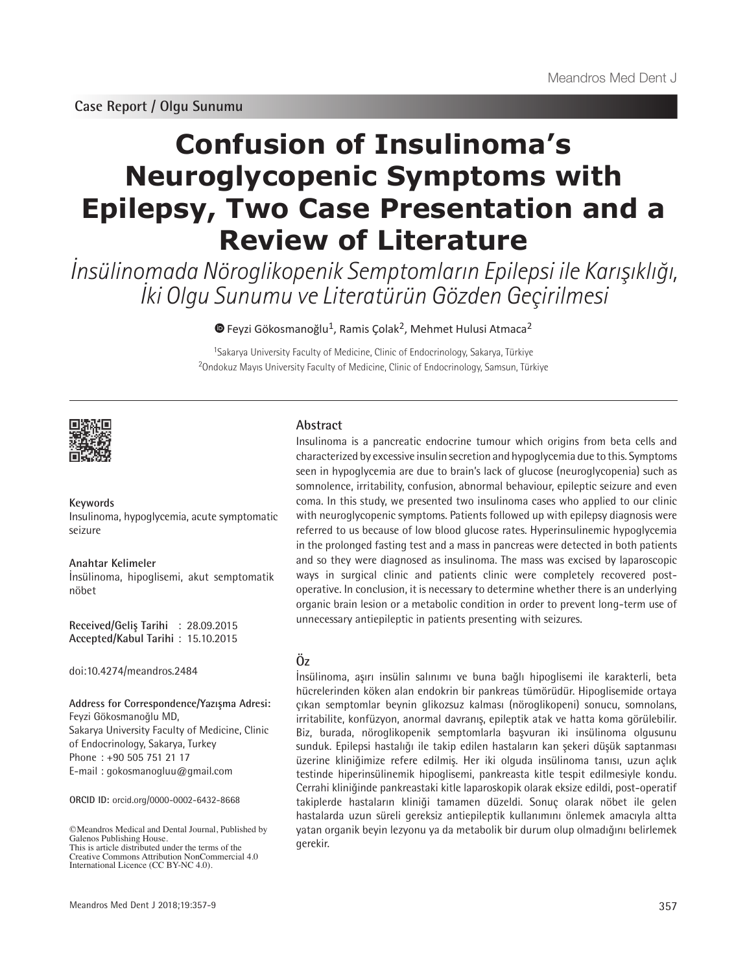**Case Report / Olgu Sunumu**

# **Confusion of Insulinoma's Neuroglycopenic Symptoms with Epilepsy, Two Case Presentation and a Review of Literature**

İnsülinomada Nöroglikopenik Semptomların Epilepsi ile Karışıklığı, İki Olgu Sunumu ve Literatürün Gözden Geçirilmesi

 $\bullet$  Feyzi Gökosmanoğlu<sup>1</sup>, Ramis Çolak<sup>2</sup>, Mehmet Hulusi Atmaca<sup>2</sup>

<sup>1</sup>Sakarya University Faculty of Medicine, Clinic of Endocrinology, Sakarya, Türkiye <sup>2</sup>Ondokuz Mayıs University Faculty of Medicine, Clinic of Endocrinology, Samsun, Türkiye



**Keywords** Insulinoma, hypoglycemia, acute symptomatic seizure

**Anahtar Kelimeler** İnsülinoma, hipoglisemi, akut semptomatik nöbet

**Received/Geliş Tarihi** : 28.09.2015 **Accepted/Kabul Tarihi** : 15.10.2015

doi:10.4274/meandros.2484

**Address for Correspondence/Yazışma Adresi:** Feyzi Gökosmanoğlu MD, Sakarya University Faculty of Medicine, Clinic

of Endocrinology, Sakarya, Turkey Phone : +90 505 751 21 17 E-mail : gokosmanogluu@gmail.com

**ORCID ID:** orcid.org/0000-0002-6432-8668

©Meandros Medical and Dental Journal, Published by Galenos Publishing House. This is article distributed under the terms of the Creative Commons Attribution NonCommercial 4.0 International Licence (CC BY-NC 4.0).

Meandros Med Dent J 2018;19:357-9

# **Abstract**

Insulinoma is a pancreatic endocrine tumour which origins from beta cells and characterized by excessive insulin secretion and hypoglycemia due to this. Symptoms seen in hypoglycemia are due to brain's lack of glucose (neuroglycopenia) such as somnolence, irritability, confusion, abnormal behaviour, epileptic seizure and even coma. In this study, we presented two insulinoma cases who applied to our clinic with neuroglycopenic symptoms. Patients followed up with epilepsy diagnosis were referred to us because of low blood glucose rates. Hyperinsulinemic hypoglycemia in the prolonged fasting test and a mass in pancreas were detected in both patients and so they were diagnosed as insulinoma. The mass was excised by laparoscopic ways in surgical clinic and patients clinic were completely recovered postoperative. In conclusion, it is necessary to determine whether there is an underlying organic brain lesion or a metabolic condition in order to prevent long-term use of unnecessary antiepileptic in patients presenting with seizures.

# **Öz**

İnsülinoma, aşırı insülin salınımı ve buna bağlı hipoglisemi ile karakterli, beta hücrelerinden köken alan endokrin bir pankreas tümörüdür. Hipoglisemide ortaya çıkan semptomlar beynin glikozsuz kalması (nöroglikopeni) sonucu, somnolans, irritabilite, konfüzyon, anormal davranış, epileptik atak ve hatta koma görülebilir. Biz, burada, nöroglikopenik semptomlarla başvuran iki insülinoma olgusunu sunduk. Epilepsi hastalığı ile takip edilen hastaların kan şekeri düşük saptanması üzerine kliniğimize refere edilmiş. Her iki olguda insülinoma tanısı, uzun açlık testinde hiperinsülinemik hipoglisemi, pankreasta kitle tespit edilmesiyle kondu. Cerrahi kliniğinde pankreastaki kitle laparoskopik olarak eksize edildi, post-operatif takiplerde hastaların kliniği tamamen düzeldi. Sonuç olarak nöbet ile gelen hastalarda uzun süreli gereksiz antiepileptik kullanımını önlemek amacıyla altta yatan organik beyin lezyonu ya da metabolik bir durum olup olmadığını belirlemek gerekir.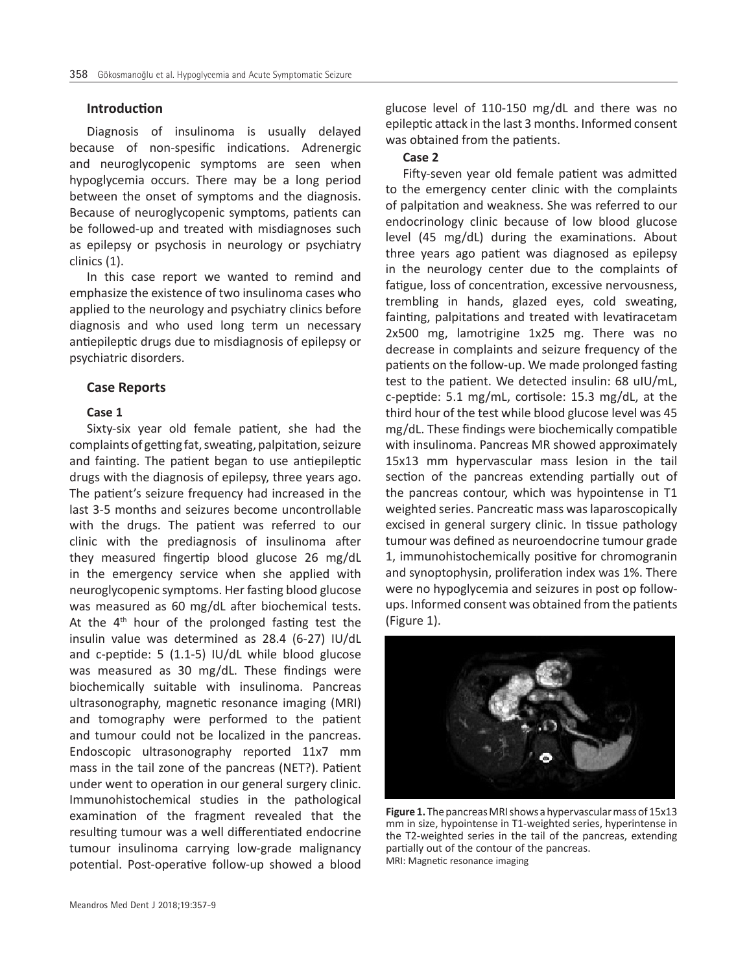#### **Introduction**

Diagnosis of insulinoma is usually delayed because of non-spesific indications. Adrenergic and neuroglycopenic symptoms are seen when hypoglycemia occurs. There may be a long period between the onset of symptoms and the diagnosis. Because of neuroglycopenic symptoms, patients can be followed-up and treated with misdiagnoses such as epilepsy or psychosis in neurology or psychiatry clinics (1).

In this case report we wanted to remind and emphasize the existence of two insulinoma cases who applied to the neurology and psychiatry clinics before diagnosis and who used long term un necessary antiepileptic drugs due to misdiagnosis of epilepsy or psychiatric disorders.

#### **Case Reports**

# **Case 1**

Sixty-six year old female patient, she had the complaints of getting fat, sweating, palpitation, seizure and fainting. The patient began to use antiepileptic drugs with the diagnosis of epilepsy, three years ago. The patient's seizure frequency had increased in the last 3-5 months and seizures become uncontrollable with the drugs. The patient was referred to our clinic with the prediagnosis of insulinoma after they measured fingertip blood glucose 26 mg/dL in the emergency service when she applied with neuroglycopenic symptoms. Her fasting blood glucose was measured as 60 mg/dL after biochemical tests. At the  $4<sup>th</sup>$  hour of the prolonged fasting test the insulin value was determined as 28.4 (6-27) IU/dL and c-peptide: 5 (1.1-5) IU/dL while blood glucose was measured as 30 mg/dL. These findings were biochemically suitable with insulinoma. Pancreas ultrasonography, magnetic resonance imaging (MRI) and tomography were performed to the patient and tumour could not be localized in the pancreas. Endoscopic ultrasonography reported 11x7 mm mass in the tail zone of the pancreas (NET?). Patient under went to operation in our general surgery clinic. Immunohistochemical studies in the pathological examination of the fragment revealed that the resulting tumour was a well differentiated endocrine tumour insulinoma carrying low-grade malignancy potential. Post-operative follow-up showed a blood glucose level of 110-150 mg/dL and there was no epileptic attack in the last 3 months. Informed consent was obtained from the patients.

## **Case 2**

Fifty-seven year old female patient was admitted to the emergency center clinic with the complaints of palpitation and weakness. She was referred to our endocrinology clinic because of low blood glucose level (45 mg/dL) during the examinations. About three years ago patient was diagnosed as epilepsy in the neurology center due to the complaints of fatigue, loss of concentration, excessive nervousness, trembling in hands, glazed eyes, cold sweating, fainting, palpitations and treated with levatiracetam 2x500 mg, lamotrigine 1x25 mg. There was no decrease in complaints and seizure frequency of the patients on the follow-up. We made prolonged fasting test to the patient. We detected insulin: 68 uIU/mL, c-peptide: 5.1 mg/mL, cortisole: 15.3 mg/dL, at the third hour of the test while blood glucose level was 45 mg/dL. These findings were biochemically compatible with insulinoma. Pancreas MR showed approximately 15x13 mm hypervascular mass lesion in the tail section of the pancreas extending partially out of the pancreas contour, which was hypointense in T1 weighted series. Pancreatic mass was laparoscopically excised in general surgery clinic. In tissue pathology tumour was defined as neuroendocrine tumour grade 1, immunohistochemically positive for chromogranin and synoptophysin, proliferation index was 1%. There were no hypoglycemia and seizures in post op followups. Informed consent was obtained from the patients (Figure 1).



**Figure 1.** The pancreas MRI shows a hypervascular mass of 15x13 mm in size, hypointense in T1-weighted series, hyperintense in the T2-weighted series in the tail of the pancreas, extending partially out of the contour of the pancreas. MRI: Magnetic resonance imaging